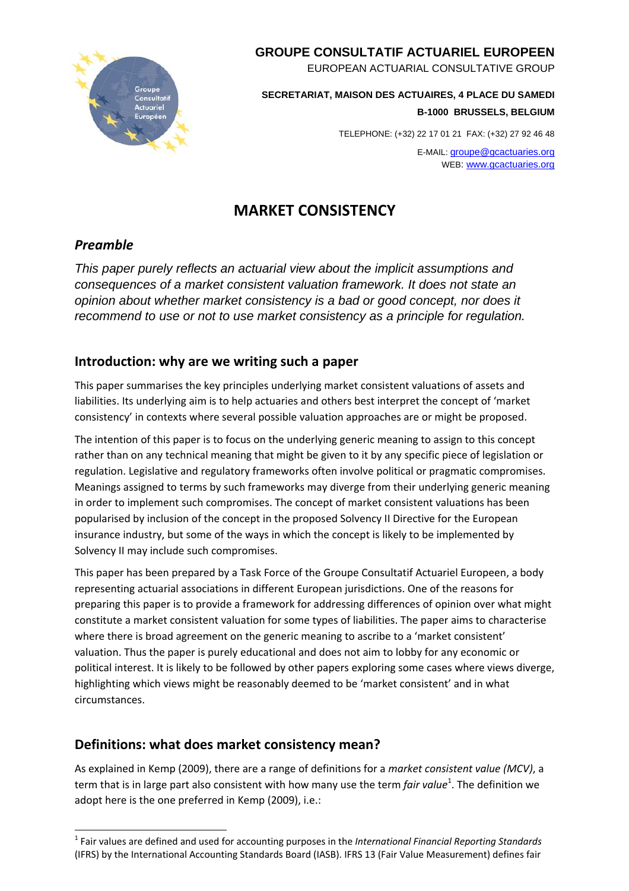

### **GROUPE CONSULTATIF ACTUARIEL EUROPEEN**

EUROPEAN ACTUARIAL CONSULTATIVE GROUP

**SECRETARIAT, MAISON DES ACTUAIRES, 4 PLACE DU SAMEDI B-1000 BRUSSELS, BELGIUM** 

TELEPHONE: (+32) 22 17 01 21 FAX: (+32) 27 92 46 48

E-MAIL: groupe@gcactuaries.org WEB: www.gcactuaries.org

# **MARKET CONSISTENCY**

# *Preamble*

*This paper purely reflects an actuarial view about the implicit assumptions and consequences of a market consistent valuation framework. It does not state an opinion about whether market consistency is a bad or good concept, nor does it recommend to use or not to use market consistency as a principle for regulation.* 

# **Introduction: why are we writing such a paper**

This paper summarises the key principles underlying market consistent valuations of assets and liabilities. Its underlying aim is to help actuaries and others best interpret the concept of 'market consistency' in contexts where several possible valuation approaches are or might be proposed.

The intention of this paper is to focus on the underlying generic meaning to assign to this concept rather than on any technical meaning that might be given to it by any specific piece of legislation or regulation. Legislative and regulatory frameworks often involve political or pragmatic compromises. Meanings assigned to terms by such frameworks may diverge from their underlying generic meaning in order to implement such compromises. The concept of market consistent valuations has been popularised by inclusion of the concept in the proposed Solvency II Directive for the European insurance industry, but some of the ways in which the concept is likely to be implemented by Solvency II may include such compromises.

This paper has been prepared by a Task Force of the Groupe Consultatif Actuariel Europeen, a body representing actuarial associations in different European jurisdictions. One of the reasons for preparing this paper is to provide a framework for addressing differences of opinion over what might constitute a market consistent valuation for some types of liabilities. The paper aims to characterise where there is broad agreement on the generic meaning to ascribe to a 'market consistent' valuation. Thus the paper is purely educational and does not aim to lobby for any economic or political interest. It is likely to be followed by other papers exploring some cases where views diverge, highlighting which views might be reasonably deemed to be 'market consistent' and in what circumstances.

# **Definitions: what does market consistency mean?**

As explained in Kemp (2009), there are a range of definitions for a *market consistent value (MCV)*, a term that is in large part also consistent with how many use the term *fair value*<sup>1</sup>. The definition we adopt here is the one preferred in Kemp (2009), i.e.:

l <sup>1</sup> Fair values are defined and used for accounting purposes in the *International Financial Reporting Standards* (IFRS) by the International Accounting Standards Board (IASB). IFRS 13 (Fair Value Measurement) defines fair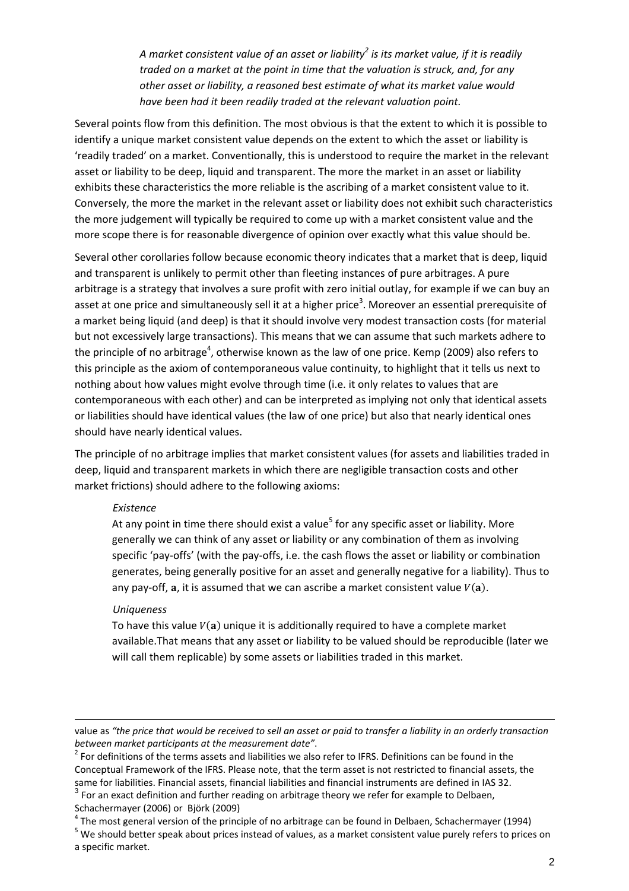*A market consistent value of an asset or liability<sup>2</sup> is its market value, if it is readily traded on a market at the point in time that the valuation is struck, and, for any other asset or liability, a reasoned best estimate of what its market value would have been had it been readily traded at the relevant valuation point.*

Several points flow from this definition. The most obvious is that the extent to which it is possible to identify a unique market consistent value depends on the extent to which the asset or liability is 'readily traded' on a market. Conventionally, this is understood to require the market in the relevant asset or liability to be deep, liquid and transparent. The more the market in an asset or liability exhibits these characteristics the more reliable is the ascribing of a market consistent value to it. Conversely, the more the market in the relevant asset or liability does not exhibit such characteristics the more judgement will typically be required to come up with a market consistent value and the more scope there is for reasonable divergence of opinion over exactly what this value should be.

Several other corollaries follow because economic theory indicates that a market that is deep, liquid and transparent is unlikely to permit other than fleeting instances of pure arbitrages. A pure arbitrage is a strategy that involves a sure profit with zero initial outlay, for example if we can buy an asset at one price and simultaneously sell it at a higher price<sup>3</sup>. Moreover an essential prerequisite of a market being liquid (and deep) is that it should involve very modest transaction costs (for material but not excessively large transactions). This means that we can assume that such markets adhere to the principle of no arbitrage<sup>4</sup>, otherwise known as the law of one price. Kemp (2009) also refers to this principle as the axiom of contemporaneous value continuity, to highlight that it tells us next to nothing about how values might evolve through time (i.e. it only relates to values that are contemporaneous with each other) and can be interpreted as implying not only that identical assets or liabilities should have identical values (the law of one price) but also that nearly identical ones should have nearly identical values.

The principle of no arbitrage implies that market consistent values (for assets and liabilities traded in deep, liquid and transparent markets in which there are negligible transaction costs and other market frictions) should adhere to the following axioms:

#### *Existence*

At any point in time there should exist a value<sup>5</sup> for any specific asset or liability. More generally we can think of any asset or liability or any combination of them as involving specific 'pay-offs' (with the pay-offs, i.e. the cash flows the asset or liability or combination generates, being generally positive for an asset and generally negative for a liability). Thus to any pay-off,  $a$ , it is assumed that we can ascribe a market consistent value  $V(a)$ .

#### *Uniqueness*

l

To have this value  $V(a)$  unique it is additionally required to have a complete market available.That means that any asset or liability to be valued should be reproducible (later we will call them replicable) by some assets or liabilities traded in this market.

value as "the price that would be received to sell an asset or paid to transfer a liability in an orderly transaction *between <i>market participants at the measurement date"*.<br><sup>2</sup> For definitions of the terms assets and liabilities we also refer to IFRS. Definitions can be found in the

Conceptual Framework of the IFRS. Please note, that the term asset is not restricted to financial assets, the same for liabilities. Financial assets, financial liabilities and financial instruments are defined in IAS 32. 3 For an exact definition and further reading on arbitrage theory we refer for example to Delbaen,

Schachermayer (2006) or Björk (2009)<br><sup>4</sup> The most general version of the principle of no arbitrage can be found in Delbaen, Schachermayer (1994)<br><sup>5</sup> We should better speak about prices instead of values, as a market consis

a specific market.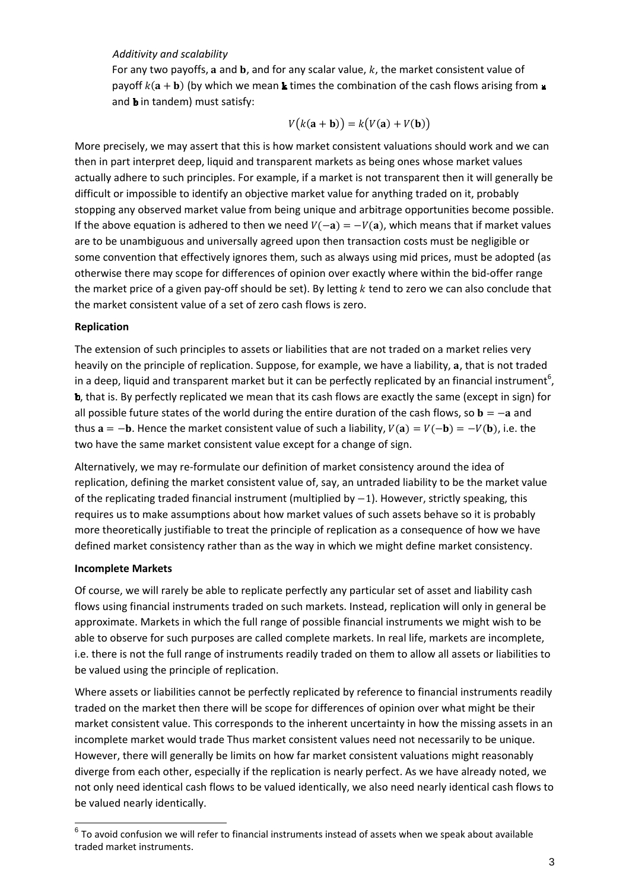#### *Additivity and scalability*

For any two payoffs, a and  $\bf{b}$ , and for any scalar value, k, the market consistent value of payoff  $k(a + b)$  (by which we mean k times the combination of the cash flows arising from  $\mu$ and **b** in tandem) must satisfy:

$$
V(k(\mathbf{a} + \mathbf{b})) = k(V(\mathbf{a}) + V(\mathbf{b}))
$$

More precisely, we may assert that this is how market consistent valuations should work and we can then in part interpret deep, liquid and transparent markets as being ones whose market values actually adhere to such principles. For example, if a market is not transparent then it will generally be difficult or impossible to identify an objective market value for anything traded on it, probably stopping any observed market value from being unique and arbitrage opportunities become possible. If the above equation is adhered to then we need  $V(-a) = -V(a)$ , which means that if market values are to be unambiguous and universally agreed upon then transaction costs must be negligible or some convention that effectively ignores them, such as always using mid prices, must be adopted (as otherwise there may scope for differences of opinion over exactly where within the bid‐offer range the market price of a given pay-off should be set). By letting  $k$  tend to zero we can also conclude that the market consistent value of a set of zero cash flows is zero.

#### **Replication**

The extension of such principles to assets or liabilities that are not traded on a market relies very heavily on the principle of replication. Suppose, for example, we have a liability, a, that is not traded in a deep, liquid and transparent market but it can be perfectly replicated by an financial instrument<sup>6</sup>, , that is. By perfectly replicated we mean that its cash flows are exactly the same (except in sign) for all possible future states of the world during the entire duration of the cash flows, so  $\mathbf{b} = -\mathbf{a}$  and thus  $a = -b$ . Hence the market consistent value of such a liability,  $V(a) = V(-b) = -V(b)$ , i.e. the two have the same market consistent value except for a change of sign.

Alternatively, we may re‐formulate our definition of market consistency around the idea of replication, defining the market consistent value of, say, an untraded liability to be the market value of the replicating traded financial instrument (multiplied by  $-1$ ). However, strictly speaking, this requires us to make assumptions about how market values of such assets behave so it is probably more theoretically justifiable to treat the principle of replication as a consequence of how we have defined market consistency rather than as the way in which we might define market consistency.

#### **Incomplete Markets**

l

Of course, we will rarely be able to replicate perfectly any particular set of asset and liability cash flows using financial instruments traded on such markets. Instead, replication will only in general be approximate. Markets in which the full range of possible financial instruments we might wish to be able to observe for such purposes are called complete markets. In real life, markets are incomplete, i.e. there is not the full range of instruments readily traded on them to allow all assets or liabilities to be valued using the principle of replication.

Where assets or liabilities cannot be perfectly replicated by reference to financial instruments readily traded on the market then there will be scope for differences of opinion over what might be their market consistent value. This corresponds to the inherent uncertainty in how the missing assets in an incomplete market would trade Thus market consistent values need not necessarily to be unique. However, there will generally be limits on how far market consistent valuations might reasonably diverge from each other, especially if the replication is nearly perfect. As we have already noted, we not only need identical cash flows to be valued identically, we also need nearly identical cash flows to be valued nearly identically.

 $6$  To avoid confusion we will refer to financial instruments instead of assets when we speak about available traded market instruments.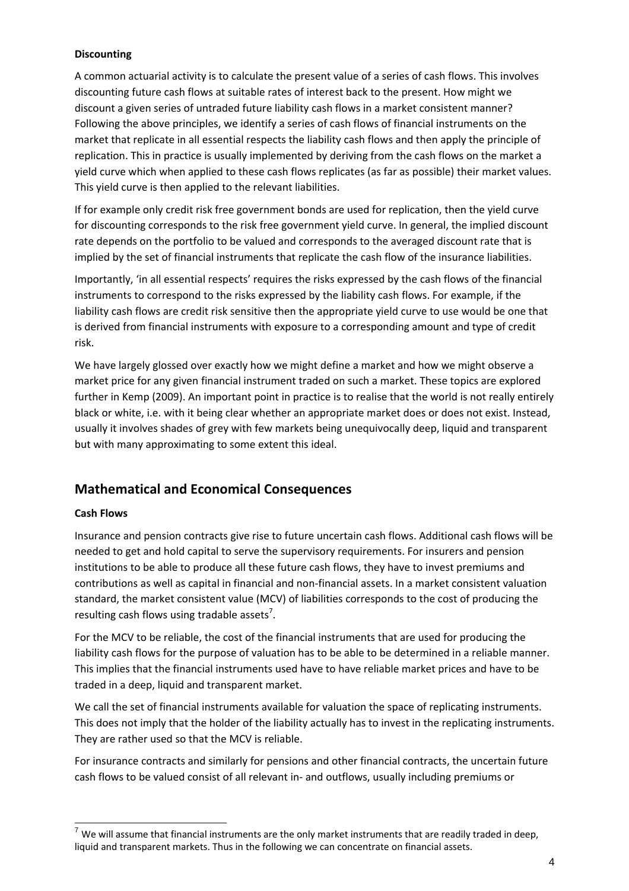#### **Discounting**

A common actuarial activity is to calculate the present value of a series of cash flows. This involves discounting future cash flows at suitable rates of interest back to the present. How might we discount a given series of untraded future liability cash flows in a market consistent manner? Following the above principles, we identify a series of cash flows of financial instruments on the market that replicate in all essential respects the liability cash flows and then apply the principle of replication. This in practice is usually implemented by deriving from the cash flows on the market a yield curve which when applied to these cash flows replicates (as far as possible) their market values. This yield curve is then applied to the relevant liabilities.

If for example only credit risk free government bonds are used for replication, then the yield curve for discounting corresponds to the risk free government yield curve. In general, the implied discount rate depends on the portfolio to be valued and corresponds to the averaged discount rate that is implied by the set of financial instruments that replicate the cash flow of the insurance liabilities.

Importantly, 'in all essential respects' requires the risks expressed by the cash flows of the financial instruments to correspond to the risks expressed by the liability cash flows. For example, if the liability cash flows are credit risk sensitive then the appropriate yield curve to use would be one that is derived from financial instruments with exposure to a corresponding amount and type of credit risk.

We have largely glossed over exactly how we might define a market and how we might observe a market price for any given financial instrument traded on such a market. These topics are explored further in Kemp (2009). An important point in practice is to realise that the world is not really entirely black or white, i.e. with it being clear whether an appropriate market does or does not exist. Instead, usually it involves shades of grey with few markets being unequivocally deep, liquid and transparent but with many approximating to some extent this ideal.

### **Mathematical and Economical Consequences**

#### **Cash Flows**

l

Insurance and pension contracts give rise to future uncertain cash flows. Additional cash flows will be needed to get and hold capital to serve the supervisory requirements. For insurers and pension institutions to be able to produce all these future cash flows, they have to invest premiums and contributions as well as capital in financial and non‐financial assets. In a market consistent valuation standard, the market consistent value (MCV) of liabilities corresponds to the cost of producing the resulting cash flows using tradable assets<sup>7</sup>.

For the MCV to be reliable, the cost of the financial instruments that are used for producing the liability cash flows for the purpose of valuation has to be able to be determined in a reliable manner. This implies that the financial instruments used have to have reliable market prices and have to be traded in a deep, liquid and transparent market.

We call the set of financial instruments available for valuation the space of replicating instruments. This does not imply that the holder of the liability actually has to invest in the replicating instruments. They are rather used so that the MCV is reliable.

For insurance contracts and similarly for pensions and other financial contracts, the uncertain future cash flows to be valued consist of all relevant in‐ and outflows, usually including premiums or

 $^7$  We will assume that financial instruments are the only market instruments that are readily traded in deep, liquid and transparent markets. Thus in the following we can concentrate on financial assets.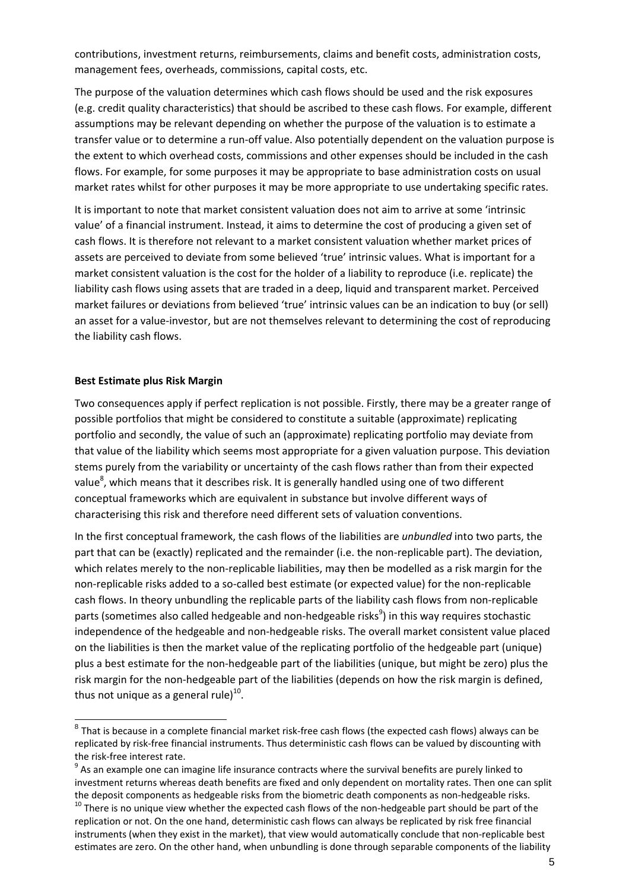contributions, investment returns, reimbursements, claims and benefit costs, administration costs, management fees, overheads, commissions, capital costs, etc.

The purpose of the valuation determines which cash flows should be used and the risk exposures (e.g. credit quality characteristics) that should be ascribed to these cash flows. For example, different assumptions may be relevant depending on whether the purpose of the valuation is to estimate a transfer value or to determine a run‐off value. Also potentially dependent on the valuation purpose is the extent to which overhead costs, commissions and other expenses should be included in the cash flows. For example, for some purposes it may be appropriate to base administration costs on usual market rates whilst for other purposes it may be more appropriate to use undertaking specific rates.

It is important to note that market consistent valuation does not aim to arrive at some 'intrinsic value' of a financial instrument. Instead, it aims to determine the cost of producing a given set of cash flows. It is therefore not relevant to a market consistent valuation whether market prices of assets are perceived to deviate from some believed 'true' intrinsic values. What is important for a market consistent valuation is the cost for the holder of a liability to reproduce (i.e. replicate) the liability cash flows using assets that are traded in a deep, liquid and transparent market. Perceived market failures or deviations from believed 'true' intrinsic values can be an indication to buy (or sell) an asset for a value‐investor, but are not themselves relevant to determining the cost of reproducing the liability cash flows.

#### **Best Estimate plus Risk Margin**

l

Two consequences apply if perfect replication is not possible. Firstly, there may be a greater range of possible portfolios that might be considered to constitute a suitable (approximate) replicating portfolio and secondly, the value of such an (approximate) replicating portfolio may deviate from that value of the liability which seems most appropriate for a given valuation purpose. This deviation stems purely from the variability or uncertainty of the cash flows rather than from their expected value<sup>8</sup>, which means that it describes risk. It is generally handled using one of two different conceptual frameworks which are equivalent in substance but involve different ways of characterising this risk and therefore need different sets of valuation conventions.

In the first conceptual framework, the cash flows of the liabilities are *unbundled* into two parts, the part that can be (exactly) replicated and the remainder (i.e. the non-replicable part). The deviation, which relates merely to the non-replicable liabilities, may then be modelled as a risk margin for the non‐replicable risks added to a so‐called best estimate (or expected value) for the non‐replicable cash flows. In theory unbundling the replicable parts of the liability cash flows from non‐replicable parts (sometimes also called hedgeable and non-hedgeable risks<sup>9</sup>) in this way requires stochastic independence of the hedgeable and non‐hedgeable risks. The overall market consistent value placed on the liabilities is then the market value of the replicating portfolio of the hedgeable part (unique) plus a best estimate for the non‐hedgeable part of the liabilities (unique, but might be zero) plus the risk margin for the non-hedgeable part of the liabilities (depends on how the risk margin is defined, thus not unique as a general rule $1^{10}$ .

 $8$  That is because in a complete financial market risk-free cash flows (the expected cash flows) always can be replicated by risk‐free financial instruments. Thus deterministic cash flows can be valued by discounting with the risk-free interest rate.<br><sup>9</sup> As an example one can imagine life insurance contracts where the survival benefits are purely linked to

investment returns whereas death benefits are fixed and only dependent on mortality rates. Then one can split the deposit components as hedgeable risks from the biometric death components as non-hedgeable risks.<br><sup>10</sup> There is no unique view whether the expected cash flows of the non-hedgeable part should be part of the

replication or not. On the one hand, deterministic cash flows can always be replicated by risk free financial instruments (when they exist in the market), that view would automatically conclude that non‐replicable best estimates are zero. On the other hand, when unbundling is done through separable components of the liability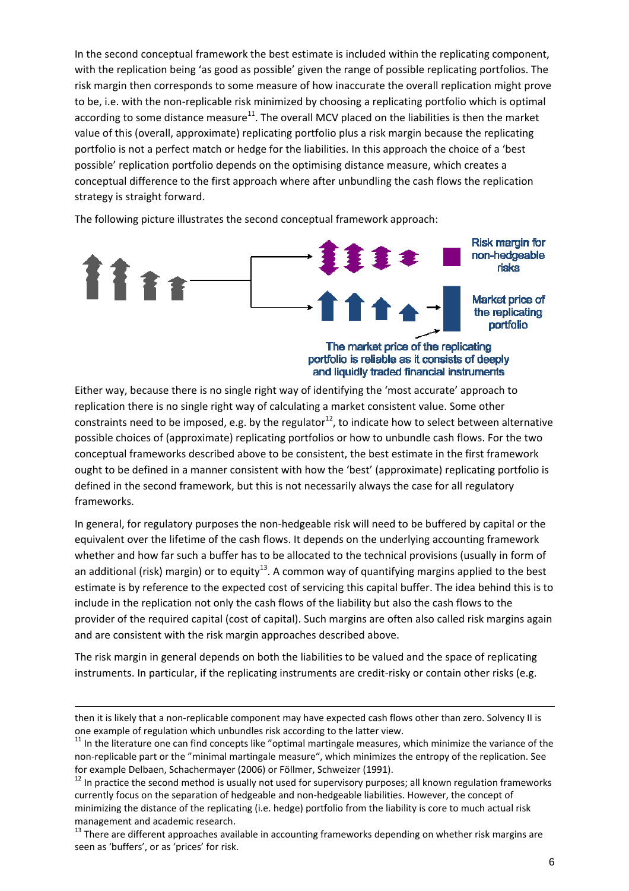In the second conceptual framework the best estimate is included within the replicating component, with the replication being 'as good as possible' given the range of possible replicating portfolios. The risk margin then corresponds to some measure of how inaccurate the overall replication might prove to be, i.e. with the non‐replicable risk minimized by choosing a replicating portfolio which is optimal according to some distance measure $11$ . The overall MCV placed on the liabilities is then the market value of this (overall, approximate) replicating portfolio plus a risk margin because the replicating portfolio is not a perfect match or hedge for the liabilities. In this approach the choice of a 'best possible' replication portfolio depends on the optimising distance measure, which creates a conceptual difference to the first approach where after unbundling the cash flows the replication strategy is straight forward.

The following picture illustrates the second conceptual framework approach:



Either way, because there is no single right way of identifying the 'most accurate' approach to replication there is no single right way of calculating a market consistent value. Some other constraints need to be imposed, e.g. by the regulator<sup>12</sup>, to indicate how to select between alternative possible choices of (approximate) replicating portfolios or how to unbundle cash flows. For the two conceptual frameworks described above to be consistent, the best estimate in the first framework ought to be defined in a manner consistent with how the 'best' (approximate) replicating portfolio is defined in the second framework, but this is not necessarily always the case for all regulatory frameworks.

In general, for regulatory purposes the non-hedgeable risk will need to be buffered by capital or the equivalent over the lifetime of the cash flows. It depends on the underlying accounting framework whether and how far such a buffer has to be allocated to the technical provisions (usually in form of an additional (risk) margin) or to equity<sup>13</sup>. A common way of quantifying margins applied to the best estimate is by reference to the expected cost of servicing this capital buffer. The idea behind this is to include in the replication not only the cash flows of the liability but also the cash flows to the provider of the required capital (cost of capital). Such margins are often also called risk margins again and are consistent with the risk margin approaches described above.

The risk margin in general depends on both the liabilities to be valued and the space of replicating instruments. In particular, if the replicating instruments are credit-risky or contain other risks (e.g.

l

then it is likely that a non-replicable component may have expected cash flows other than zero. Solvency II is one example of regulation which unbundles risk according to the latter view.<br><sup>11</sup> In the literature one can find concepts like "optimal martingale measures, which minimize the variance of the

non‐replicable part or the "minimal martingale measure", which minimizes the entropy of the replication. See for example Delbaen, Schachermayer (2006) or Föllmer, Schweizer (1991).<br><sup>12</sup> In practice the second method is usually not used for supervisory purposes; all known regulation frameworks

currently focus on the separation of hedgeable and non‐hedgeable liabilities. However, the concept of minimizing the distance of the replicating (i.e. hedge) portfolio from the liability is core to much actual risk management and academic research.<br>  $13$  There are different approaches available in accounting frameworks depending on whether risk margins are

seen as 'buffers', or as 'prices' for risk.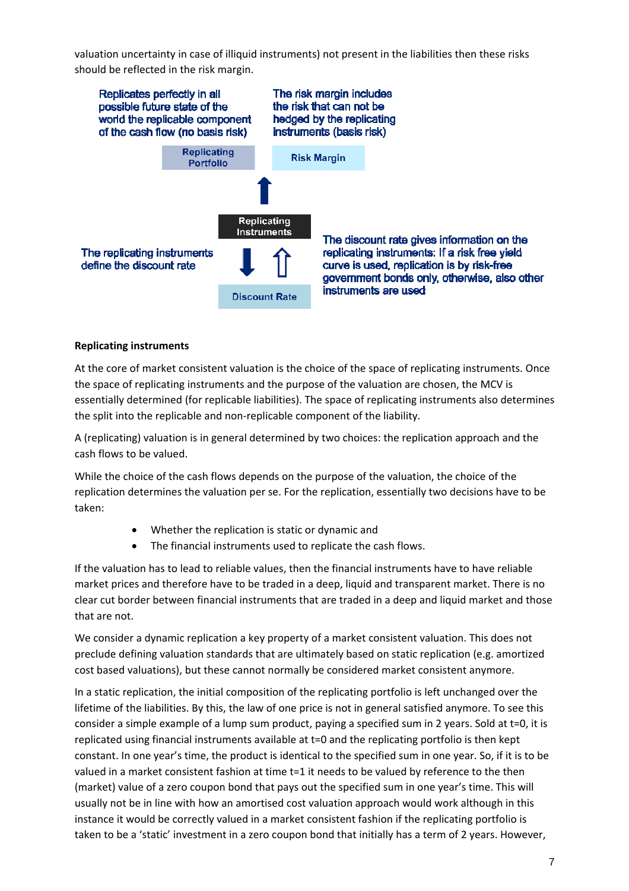valuation uncertainty in case of illiquid instruments) not present in the liabilities then these risks should be reflected in the risk margin.



#### **Replicating instruments**

At the core of market consistent valuation is the choice of the space of replicating instruments. Once the space of replicating instruments and the purpose of the valuation are chosen, the MCV is essentially determined (for replicable liabilities). The space of replicating instruments also determines the split into the replicable and non‐replicable component of the liability.

A (replicating) valuation is in general determined by two choices: the replication approach and the cash flows to be valued.

While the choice of the cash flows depends on the purpose of the valuation, the choice of the replication determines the valuation per se. For the replication, essentially two decisions have to be taken:

- Whether the replication is static or dynamic and
- The financial instruments used to replicate the cash flows.

If the valuation has to lead to reliable values, then the financial instruments have to have reliable market prices and therefore have to be traded in a deep, liquid and transparent market. There is no clear cut border between financial instruments that are traded in a deep and liquid market and those that are not.

We consider a dynamic replication a key property of a market consistent valuation. This does not preclude defining valuation standards that are ultimately based on static replication (e.g. amortized cost based valuations), but these cannot normally be considered market consistent anymore.

In a static replication, the initial composition of the replicating portfolio is left unchanged over the lifetime of the liabilities. By this, the law of one price is not in general satisfied anymore. To see this consider a simple example of a lump sum product, paying a specified sum in 2 years. Sold at t=0, it is replicated using financial instruments available at t=0 and the replicating portfolio is then kept constant. In one year's time, the product is identical to the specified sum in one year. So, if it is to be valued in a market consistent fashion at time t=1 it needs to be valued by reference to the then (market) value of a zero coupon bond that pays out the specified sum in one year's time. This will usually not be in line with how an amortised cost valuation approach would work although in this instance it would be correctly valued in a market consistent fashion if the replicating portfolio is taken to be a 'static' investment in a zero coupon bond that initially has a term of 2 years. However,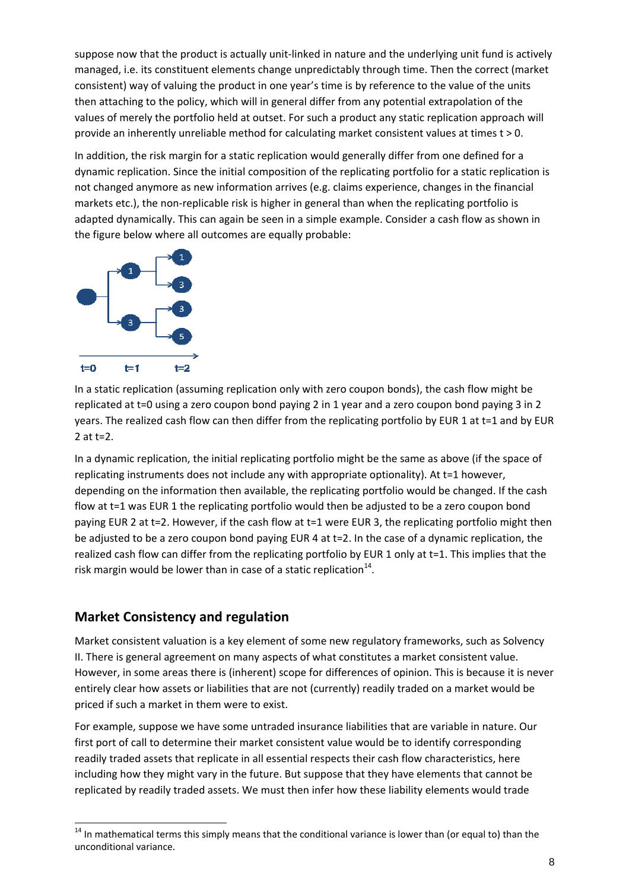suppose now that the product is actually unit‐linked in nature and the underlying unit fund is actively managed, i.e. its constituent elements change unpredictably through time. Then the correct (market consistent) way of valuing the product in one year's time is by reference to the value of the units then attaching to the policy, which will in general differ from any potential extrapolation of the values of merely the portfolio held at outset. For such a product any static replication approach will provide an inherently unreliable method for calculating market consistent values at times t > 0.

In addition, the risk margin for a static replication would generally differ from one defined for a dynamic replication. Since the initial composition of the replicating portfolio for a static replication is not changed anymore as new information arrives (e.g. claims experience, changes in the financial markets etc.), the non-replicable risk is higher in general than when the replicating portfolio is adapted dynamically. This can again be seen in a simple example. Consider a cash flow as shown in the figure below where all outcomes are equally probable:



In a static replication (assuming replication only with zero coupon bonds), the cash flow might be replicated at t=0 using a zero coupon bond paying 2 in 1 year and a zero coupon bond paying 3 in 2 years. The realized cash flow can then differ from the replicating portfolio by EUR 1 at t=1 and by EUR 2 at t=2.

In a dynamic replication, the initial replicating portfolio might be the same as above (if the space of replicating instruments does not include any with appropriate optionality). At t=1 however, depending on the information then available, the replicating portfolio would be changed. If the cash flow at t=1 was EUR 1 the replicating portfolio would then be adjusted to be a zero coupon bond paying EUR 2 at t=2. However, if the cash flow at t=1 were EUR 3, the replicating portfolio might then be adjusted to be a zero coupon bond paying EUR 4 at t=2. In the case of a dynamic replication, the realized cash flow can differ from the replicating portfolio by EUR 1 only at t=1. This implies that the risk margin would be lower than in case of a static replication $14$ .

### **Market Consistency and regulation**

l

Market consistent valuation is a key element of some new regulatory frameworks, such as Solvency II. There is general agreement on many aspects of what constitutes a market consistent value. However, in some areas there is (inherent) scope for differences of opinion. This is because it is never entirely clear how assets or liabilities that are not (currently) readily traded on a market would be priced if such a market in them were to exist.

For example, suppose we have some untraded insurance liabilities that are variable in nature. Our first port of call to determine their market consistent value would be to identify corresponding readily traded assets that replicate in all essential respects their cash flow characteristics, here including how they might vary in the future. But suppose that they have elements that cannot be replicated by readily traded assets. We must then infer how these liability elements would trade

<sup>&</sup>lt;sup>14</sup> In mathematical terms this simply means that the conditional variance is lower than (or equal to) than the unconditional variance.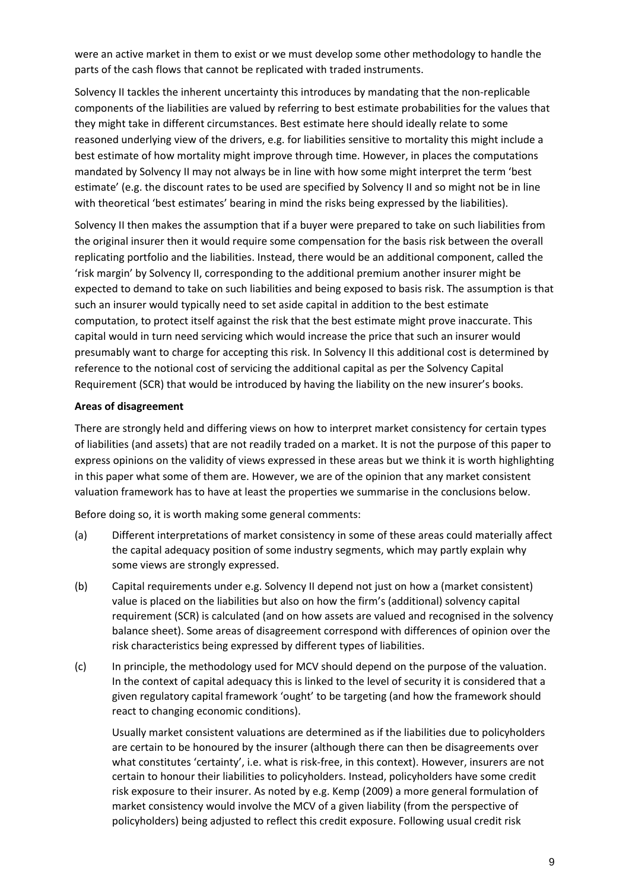were an active market in them to exist or we must develop some other methodology to handle the parts of the cash flows that cannot be replicated with traded instruments.

Solvency II tackles the inherent uncertainty this introduces by mandating that the non‐replicable components of the liabilities are valued by referring to best estimate probabilities for the values that they might take in different circumstances. Best estimate here should ideally relate to some reasoned underlying view of the drivers, e.g. for liabilities sensitive to mortality this might include a best estimate of how mortality might improve through time. However, in places the computations mandated by Solvency II may not always be in line with how some might interpret the term 'best estimate' (e.g. the discount rates to be used are specified by Solvency II and so might not be in line with theoretical 'best estimates' bearing in mind the risks being expressed by the liabilities).

Solvency II then makes the assumption that if a buyer were prepared to take on such liabilities from the original insurer then it would require some compensation for the basis risk between the overall replicating portfolio and the liabilities. Instead, there would be an additional component, called the 'risk margin' by Solvency II, corresponding to the additional premium another insurer might be expected to demand to take on such liabilities and being exposed to basis risk. The assumption is that such an insurer would typically need to set aside capital in addition to the best estimate computation, to protect itself against the risk that the best estimate might prove inaccurate. This capital would in turn need servicing which would increase the price that such an insurer would presumably want to charge for accepting this risk. In Solvency II this additional cost is determined by reference to the notional cost of servicing the additional capital as per the Solvency Capital Requirement (SCR) that would be introduced by having the liability on the new insurer's books.

#### **Areas of disagreement**

There are strongly held and differing views on how to interpret market consistency for certain types of liabilities (and assets) that are not readily traded on a market. It is not the purpose of this paper to express opinions on the validity of views expressed in these areas but we think it is worth highlighting in this paper what some of them are. However, we are of the opinion that any market consistent valuation framework has to have at least the properties we summarise in the conclusions below.

Before doing so, it is worth making some general comments:

- (a) Different interpretations of market consistency in some of these areas could materially affect the capital adequacy position of some industry segments, which may partly explain why some views are strongly expressed.
- (b) Capital requirements under e.g. Solvency II depend not just on how a (market consistent) value is placed on the liabilities but also on how the firm's (additional) solvency capital requirement (SCR) is calculated (and on how assets are valued and recognised in the solvency balance sheet). Some areas of disagreement correspond with differences of opinion over the risk characteristics being expressed by different types of liabilities.
- (c) In principle, the methodology used for MCV should depend on the purpose of the valuation. In the context of capital adequacy this is linked to the level of security it is considered that a given regulatory capital framework 'ought' to be targeting (and how the framework should react to changing economic conditions).

Usually market consistent valuations are determined as if the liabilities due to policyholders are certain to be honoured by the insurer (although there can then be disagreements over what constitutes 'certainty', i.e. what is risk-free, in this context). However, insurers are not certain to honour their liabilities to policyholders. Instead, policyholders have some credit risk exposure to their insurer. As noted by e.g. Kemp (2009) a more general formulation of market consistency would involve the MCV of a given liability (from the perspective of policyholders) being adjusted to reflect this credit exposure. Following usual credit risk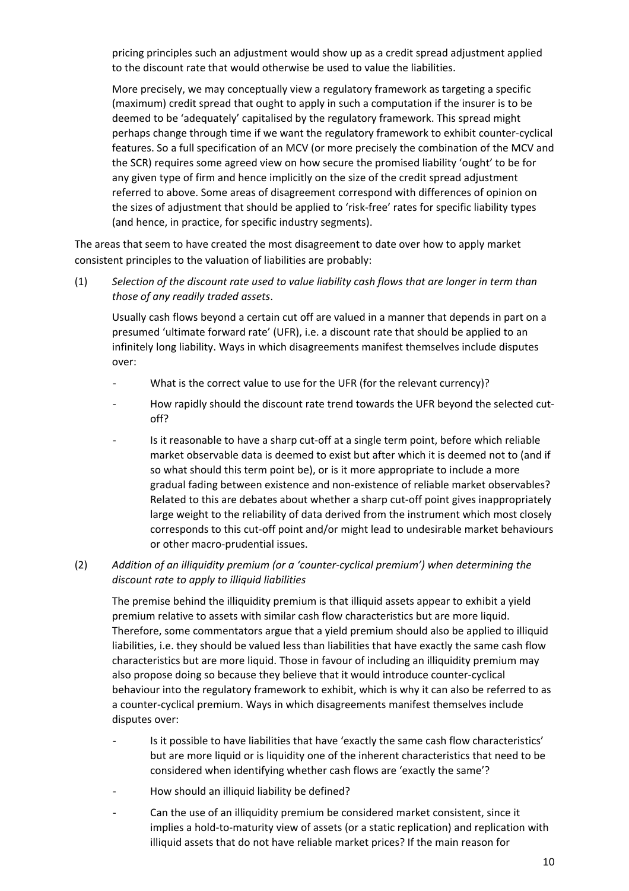pricing principles such an adjustment would show up as a credit spread adjustment applied to the discount rate that would otherwise be used to value the liabilities.

More precisely, we may conceptually view a regulatory framework as targeting a specific (maximum) credit spread that ought to apply in such a computation if the insurer is to be deemed to be 'adequately' capitalised by the regulatory framework. This spread might perhaps change through time if we want the regulatory framework to exhibit counter‐cyclical features. So a full specification of an MCV (or more precisely the combination of the MCV and the SCR) requires some agreed view on how secure the promised liability 'ought' to be for any given type of firm and hence implicitly on the size of the credit spread adjustment referred to above. Some areas of disagreement correspond with differences of opinion on the sizes of adjustment that should be applied to 'risk-free' rates for specific liability types (and hence, in practice, for specific industry segments).

The areas that seem to have created the most disagreement to date over how to apply market consistent principles to the valuation of liabilities are probably:

(1) *Selection of the discount rate used to value liability cash flows that are longer in term than those of any readily traded assets*.

Usually cash flows beyond a certain cut off are valued in a manner that depends in part on a presumed 'ultimate forward rate' (UFR), i.e. a discount rate that should be applied to an infinitely long liability. Ways in which disagreements manifest themselves include disputes over:

- What is the correct value to use for the UFR (for the relevant currency)?
- How rapidly should the discount rate trend towards the UFR beyond the selected cutoff?
- Is it reasonable to have a sharp cut-off at a single term point, before which reliable market observable data is deemed to exist but after which it is deemed not to (and if so what should this term point be), or is it more appropriate to include a more gradual fading between existence and non‐existence of reliable market observables? Related to this are debates about whether a sharp cut-off point gives inappropriately large weight to the reliability of data derived from the instrument which most closely corresponds to this cut‐off point and/or might lead to undesirable market behaviours or other macro‐prudential issues.

#### (2) *Addition of an illiquidity premium (or a 'counter‐cyclical premium') when determining the discount rate to apply to illiquid liabilities*

The premise behind the illiquidity premium is that illiquid assets appear to exhibit a yield premium relative to assets with similar cash flow characteristics but are more liquid. Therefore, some commentators argue that a yield premium should also be applied to illiquid liabilities, i.e. they should be valued less than liabilities that have exactly the same cash flow characteristics but are more liquid. Those in favour of including an illiquidity premium may also propose doing so because they believe that it would introduce counter‐cyclical behaviour into the regulatory framework to exhibit, which is why it can also be referred to as a counter‐cyclical premium. Ways in which disagreements manifest themselves include disputes over:

- Is it possible to have liabilities that have 'exactly the same cash flow characteristics' but are more liquid or is liquidity one of the inherent characteristics that need to be considered when identifying whether cash flows are 'exactly the same'?
- How should an illiquid liability be defined?
- ‐ Can the use of an illiquidity premium be considered market consistent, since it implies a hold-to-maturity view of assets (or a static replication) and replication with illiquid assets that do not have reliable market prices? If the main reason for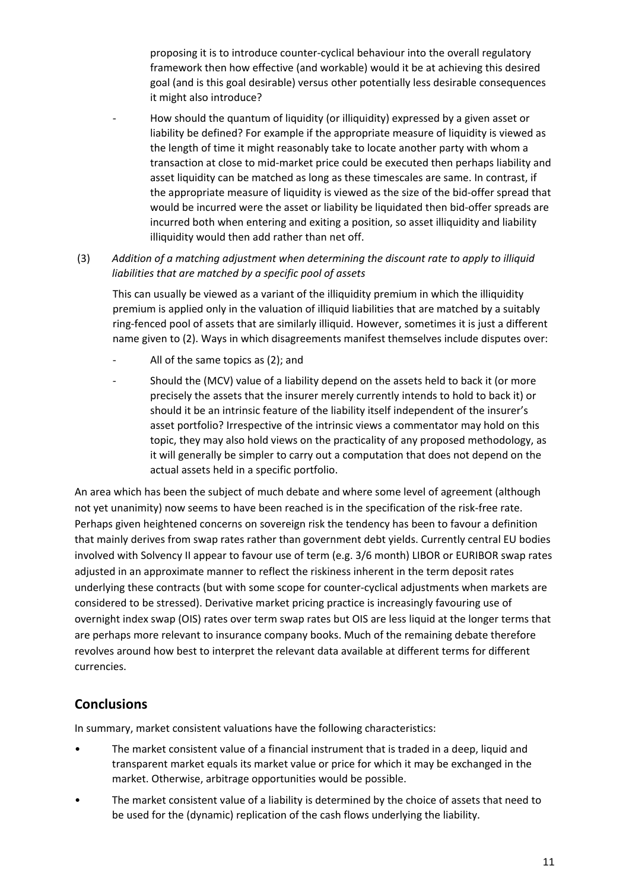proposing it is to introduce counter‐cyclical behaviour into the overall regulatory framework then how effective (and workable) would it be at achieving this desired goal (and is this goal desirable) versus other potentially less desirable consequences it might also introduce?

- ‐ How should the quantum of liquidity (or illiquidity) expressed by a given asset or liability be defined? For example if the appropriate measure of liquidity is viewed as the length of time it might reasonably take to locate another party with whom a transaction at close to mid‐market price could be executed then perhaps liability and asset liquidity can be matched as long as these timescales are same. In contrast, if the appropriate measure of liquidity is viewed as the size of the bid‐offer spread that would be incurred were the asset or liability be liquidated then bid‐offer spreads are incurred both when entering and exiting a position, so asset illiquidity and liability illiquidity would then add rather than net off.
- (3) *Addition of a matching adjustment when determining the discount rate to apply to illiquid liabilities that are matched by a specific pool of assets*

This can usually be viewed as a variant of the illiquidity premium in which the illiquidity premium is applied only in the valuation of illiquid liabilities that are matched by a suitably ring‐fenced pool of assets that are similarly illiquid. However, sometimes it is just a different name given to (2). Ways in which disagreements manifest themselves include disputes over:

- All of the same topics as (2); and
- Should the (MCV) value of a liability depend on the assets held to back it (or more precisely the assets that the insurer merely currently intends to hold to back it) or should it be an intrinsic feature of the liability itself independent of the insurer's asset portfolio? Irrespective of the intrinsic views a commentator may hold on this topic, they may also hold views on the practicality of any proposed methodology, as it will generally be simpler to carry out a computation that does not depend on the actual assets held in a specific portfolio.

An area which has been the subject of much debate and where some level of agreement (although not yet unanimity) now seems to have been reached is in the specification of the risk-free rate. Perhaps given heightened concerns on sovereign risk the tendency has been to favour a definition that mainly derives from swap rates rather than government debt yields. Currently central EU bodies involved with Solvency II appear to favour use of term (e.g. 3/6 month) LIBOR or EURIBOR swap rates adjusted in an approximate manner to reflect the riskiness inherent in the term deposit rates underlying these contracts (but with some scope for counter‐cyclical adjustments when markets are considered to be stressed). Derivative market pricing practice is increasingly favouring use of overnight index swap (OIS) rates over term swap rates but OIS are less liquid at the longer terms that are perhaps more relevant to insurance company books. Much of the remaining debate therefore revolves around how best to interpret the relevant data available at different terms for different currencies.

# **Conclusions**

In summary, market consistent valuations have the following characteristics:

- The market consistent value of a financial instrument that is traded in a deep, liquid and transparent market equals its market value or price for which it may be exchanged in the market. Otherwise, arbitrage opportunities would be possible.
- The market consistent value of a liability is determined by the choice of assets that need to be used for the (dynamic) replication of the cash flows underlying the liability.